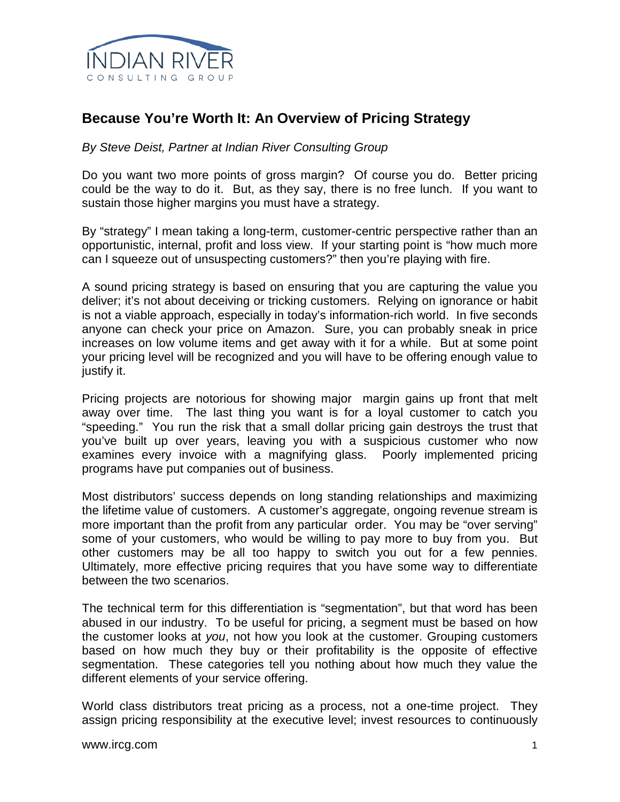

## **Because You're Worth It: An Overview of Pricing Strategy**

*By Steve Deist, Partner at Indian River Consulting Group*

Do you want two more points of gross margin? Of course you do. Better pricing could be the way to do it. But, as they say, there is no free lunch. If you want to sustain those higher margins you must have a strategy.

By "strategy" I mean taking a long-term, customer-centric perspective rather than an opportunistic, internal, profit and loss view. If your starting point is "how much more can I squeeze out of unsuspecting customers?" then you're playing with fire.

A sound pricing strategy is based on ensuring that you are capturing the value you deliver; it's not about deceiving or tricking customers. Relying on ignorance or habit is not a viable approach, especially in today's information-rich world. In five seconds anyone can check your price on Amazon. Sure, you can probably sneak in price increases on low volume items and get away with it for a while. But at some point your pricing level will be recognized and you will have to be offering enough value to justify it.

Pricing projects are notorious for showing major margin gains up front that melt away over time. The last thing you want is for a loyal customer to catch you "speeding." You run the risk that a small dollar pricing gain destroys the trust that you've built up over years, leaving you with a suspicious customer who now examines every invoice with a magnifying glass. Poorly implemented pricing programs have put companies out of business.

Most distributors' success depends on long standing relationships and maximizing the lifetime value of customers. A customer's aggregate, ongoing revenue stream is more important than the profit from any particular order. You may be "over serving" some of your customers, who would be willing to pay more to buy from you. But other customers may be all too happy to switch you out for a few pennies. Ultimately, more effective pricing requires that you have some way to differentiate between the two scenarios.

The technical term for this differentiation is "segmentation", but that word has been abused in our industry. To be useful for pricing, a segment must be based on how the customer looks at *you*, not how you look at the customer. Grouping customers based on how much they buy or their profitability is the opposite of effective segmentation. These categories tell you nothing about how much they value the different elements of your service offering.

World class distributors treat pricing as a process, not a one-time project. They assign pricing responsibility at the executive level; invest resources to continuously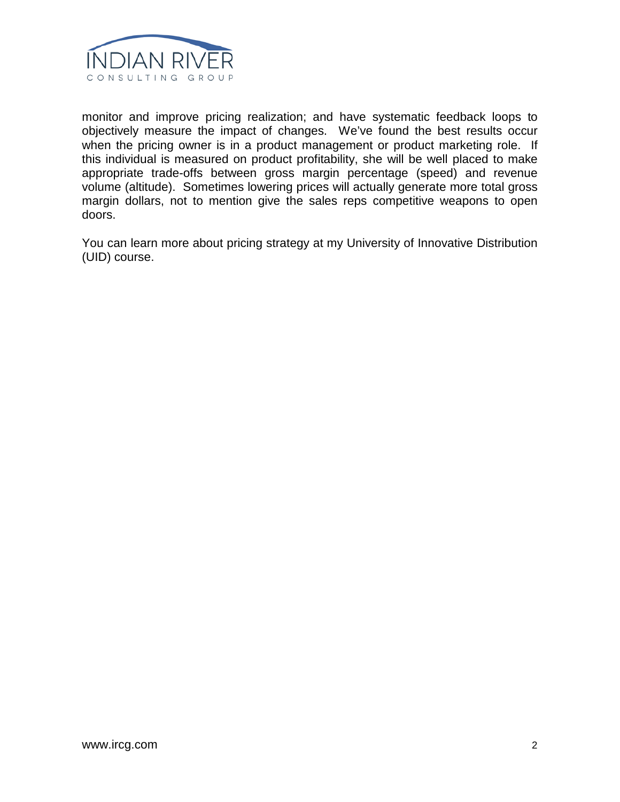

monitor and improve pricing realization; and have systematic feedback loops to objectively measure the impact of changes. We've found the best results occur when the pricing owner is in a product management or product marketing role. If this individual is measured on product profitability, she will be well placed to make appropriate trade-offs between gross margin percentage (speed) and revenue volume (altitude). Sometimes lowering prices will actually generate more total gross margin dollars, not to mention give the sales reps competitive weapons to open doors.

You can learn more about pricing strategy at my University of Innovative Distribution (UID) course.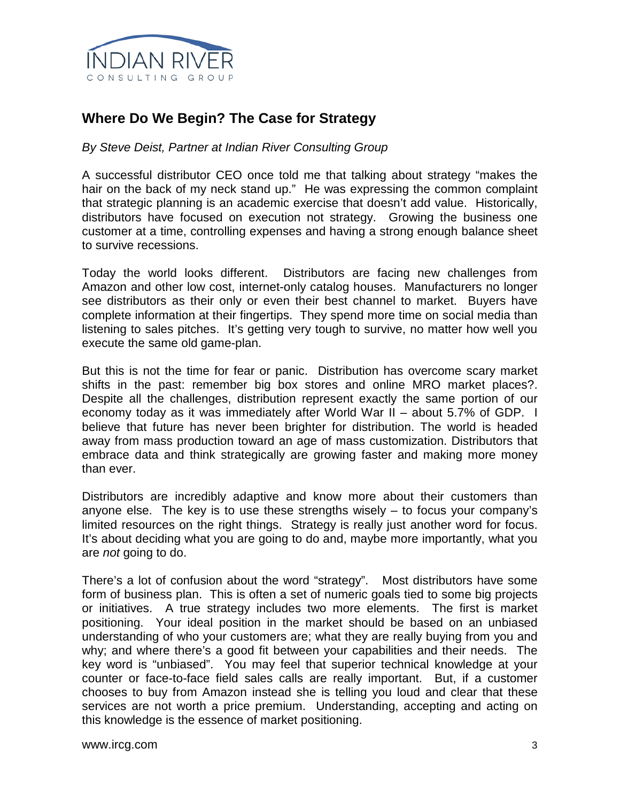

## **Where Do We Begin? The Case for Strategy**

*By Steve Deist, Partner at Indian River Consulting Group*

A successful distributor CEO once told me that talking about strategy "makes the hair on the back of my neck stand up." He was expressing the common complaint that strategic planning is an academic exercise that doesn't add value. Historically, distributors have focused on execution not strategy. Growing the business one customer at a time, controlling expenses and having a strong enough balance sheet to survive recessions.

Today the world looks different. Distributors are facing new challenges from Amazon and other low cost, internet-only catalog houses. Manufacturers no longer see distributors as their only or even their best channel to market. Buyers have complete information at their fingertips. They spend more time on social media than listening to sales pitches. It's getting very tough to survive, no matter how well you execute the same old game-plan.

But this is not the time for fear or panic. Distribution has overcome scary market shifts in the past: remember big box stores and online MRO market places?. Despite all the challenges, distribution represent exactly the same portion of our economy today as it was immediately after World War II – about 5.7% of GDP. I believe that future has never been brighter for distribution. The world is headed away from mass production toward an age of mass customization. Distributors that embrace data and think strategically are growing faster and making more money than ever.

Distributors are incredibly adaptive and know more about their customers than anyone else. The key is to use these strengths wisely – to focus your company's limited resources on the right things. Strategy is really just another word for focus. It's about deciding what you are going to do and, maybe more importantly, what you are *not* going to do.

There's a lot of confusion about the word "strategy". Most distributors have some form of business plan. This is often a set of numeric goals tied to some big projects or initiatives. A true strategy includes two more elements. The first is market positioning. Your ideal position in the market should be based on an unbiased understanding of who your customers are; what they are really buying from you and why; and where there's a good fit between your capabilities and their needs. The key word is "unbiased". You may feel that superior technical knowledge at your counter or face-to-face field sales calls are really important. But, if a customer chooses to buy from Amazon instead she is telling you loud and clear that these services are not worth a price premium. Understanding, accepting and acting on this knowledge is the essence of market positioning.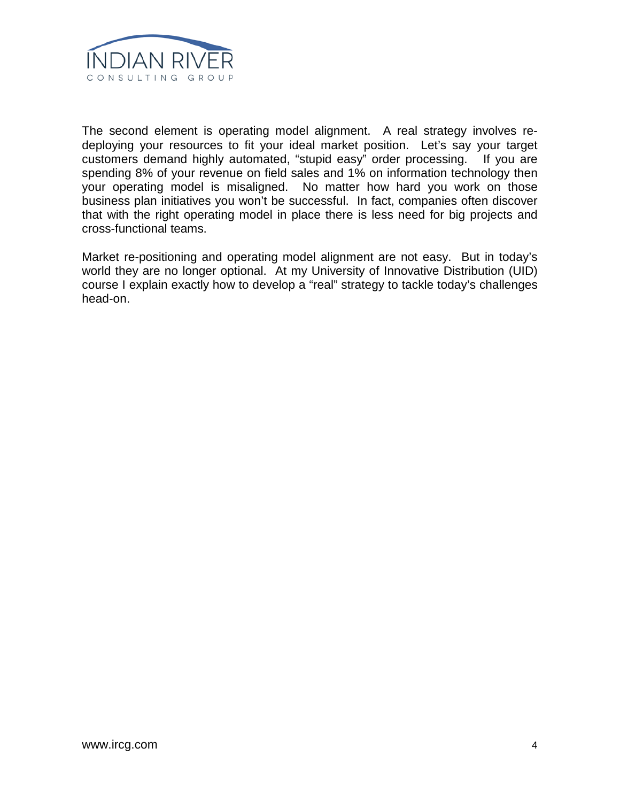

The second element is operating model alignment. A real strategy involves redeploying your resources to fit your ideal market position. Let's say your target customers demand highly automated, "stupid easy" order processing. If you are spending 8% of your revenue on field sales and 1% on information technology then your operating model is misaligned. No matter how hard you work on those business plan initiatives you won't be successful. In fact, companies often discover that with the right operating model in place there is less need for big projects and cross-functional teams.

Market re-positioning and operating model alignment are not easy. But in today's world they are no longer optional. At my University of Innovative Distribution (UID) course I explain exactly how to develop a "real" strategy to tackle today's challenges head-on.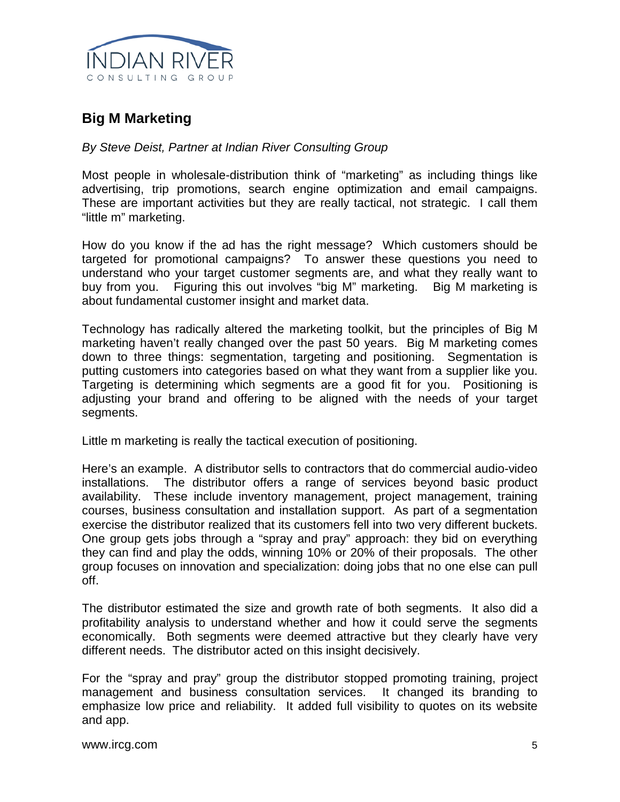

## **Big M Marketing**

## *By Steve Deist, Partner at Indian River Consulting Group*

Most people in wholesale-distribution think of "marketing" as including things like advertising, trip promotions, search engine optimization and email campaigns. These are important activities but they are really tactical, not strategic. I call them "little m" marketing.

How do you know if the ad has the right message? Which customers should be targeted for promotional campaigns? To answer these questions you need to understand who your target customer segments are, and what they really want to buy from you. Figuring this out involves "big M" marketing. Big M marketing is about fundamental customer insight and market data.

Technology has radically altered the marketing toolkit, but the principles of Big M marketing haven't really changed over the past 50 years. Big M marketing comes down to three things: segmentation, targeting and positioning. Segmentation is putting customers into categories based on what they want from a supplier like you. Targeting is determining which segments are a good fit for you. Positioning is adjusting your brand and offering to be aligned with the needs of your target segments.

Little m marketing is really the tactical execution of positioning.

Here's an example. A distributor sells to contractors that do commercial audio-video installations. The distributor offers a range of services beyond basic product availability. These include inventory management, project management, training courses, business consultation and installation support. As part of a segmentation exercise the distributor realized that its customers fell into two very different buckets. One group gets jobs through a "spray and pray" approach: they bid on everything they can find and play the odds, winning 10% or 20% of their proposals. The other group focuses on innovation and specialization: doing jobs that no one else can pull off.

The distributor estimated the size and growth rate of both segments. It also did a profitability analysis to understand whether and how it could serve the segments economically. Both segments were deemed attractive but they clearly have very different needs. The distributor acted on this insight decisively.

For the "spray and pray" group the distributor stopped promoting training, project management and business consultation services. It changed its branding to emphasize low price and reliability. It added full visibility to quotes on its website and app.